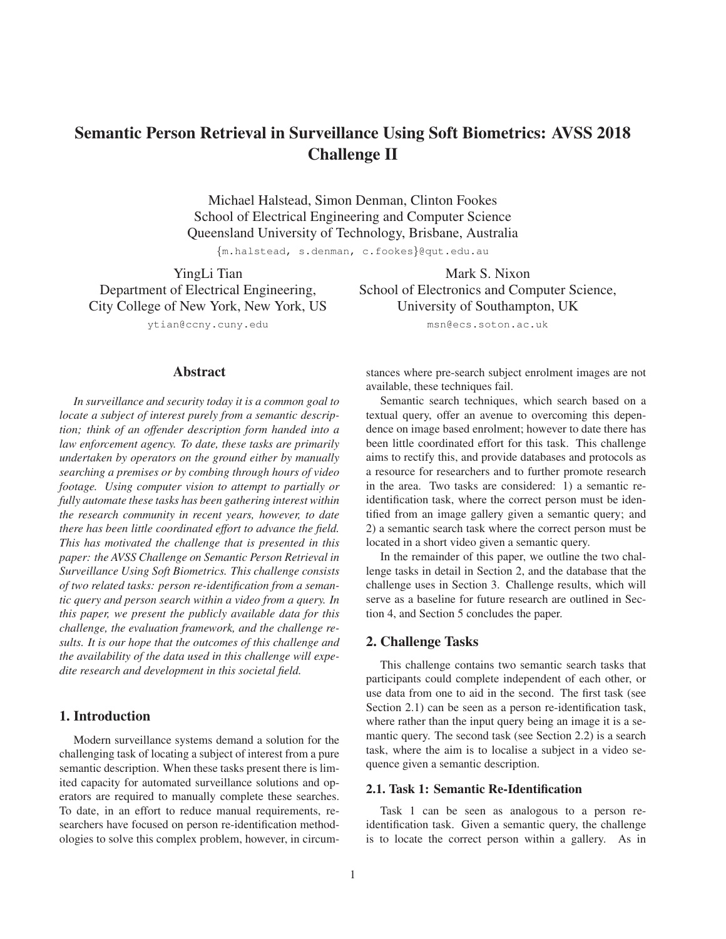# Semantic Person Retrieval in Surveillance Using Soft Biometrics: AVSS 2018 Challenge II

Michael Halstead, Simon Denman, Clinton Fookes School of Electrical Engineering and Computer Science Queensland University of Technology, Brisbane, Australia

{m.halstead, s.denman, c.fookes}@qut.edu.au

YingLi Tian Department of Electrical Engineering, City College of New York, New York, US ytian@ccny.cuny.edu

#### Abstract

*In surveillance and security today it is a common goal to locate a subject of interest purely from a semantic description; think of an offender description form handed into a law enforcement agency. To date, these tasks are primarily undertaken by operators on the ground either by manually searching a premises or by combing through hours of video footage. Using computer vision to attempt to partially or fully automate these tasks has been gathering interest within the research community in recent years, however, to date there has been little coordinated effort to advance the field. This has motivated the challenge that is presented in this paper: the AVSS Challenge on Semantic Person Retrieval in Surveillance Using Soft Biometrics. This challenge consists of two related tasks: person re-identification from a semantic query and person search within a video from a query. In this paper, we present the publicly available data for this challenge, the evaluation framework, and the challenge results. It is our hope that the outcomes of this challenge and the availability of the data used in this challenge will expedite research and development in this societal field.*

## 1. Introduction

Modern surveillance systems demand a solution for the challenging task of locating a subject of interest from a pure semantic description. When these tasks present there is limited capacity for automated surveillance solutions and operators are required to manually complete these searches. To date, in an effort to reduce manual requirements, researchers have focused on person re-identification methodologies to solve this complex problem, however, in circum-

Mark S. Nixon School of Electronics and Computer Science, University of Southampton, UK

msn@ecs.soton.ac.uk

stances where pre-search subject enrolment images are not available, these techniques fail.

Semantic search techniques, which search based on a textual query, offer an avenue to overcoming this dependence on image based enrolment; however to date there has been little coordinated effort for this task. This challenge aims to rectify this, and provide databases and protocols as a resource for researchers and to further promote research in the area. Two tasks are considered: 1) a semantic reidentification task, where the correct person must be identified from an image gallery given a semantic query; and 2) a semantic search task where the correct person must be located in a short video given a semantic query.

In the remainder of this paper, we outline the two challenge tasks in detail in Section 2, and the database that the challenge uses in Section 3. Challenge results, which will serve as a baseline for future research are outlined in Section 4, and Section 5 concludes the paper.

#### 2. Challenge Tasks

This challenge contains two semantic search tasks that participants could complete independent of each other, or use data from one to aid in the second. The first task (see Section 2.1) can be seen as a person re-identification task, where rather than the input query being an image it is a semantic query. The second task (see Section 2.2) is a search task, where the aim is to localise a subject in a video sequence given a semantic description.

### 2.1. Task 1: Semantic Re-Identification

Task 1 can be seen as analogous to a person reidentification task. Given a semantic query, the challenge is to locate the correct person within a gallery. As in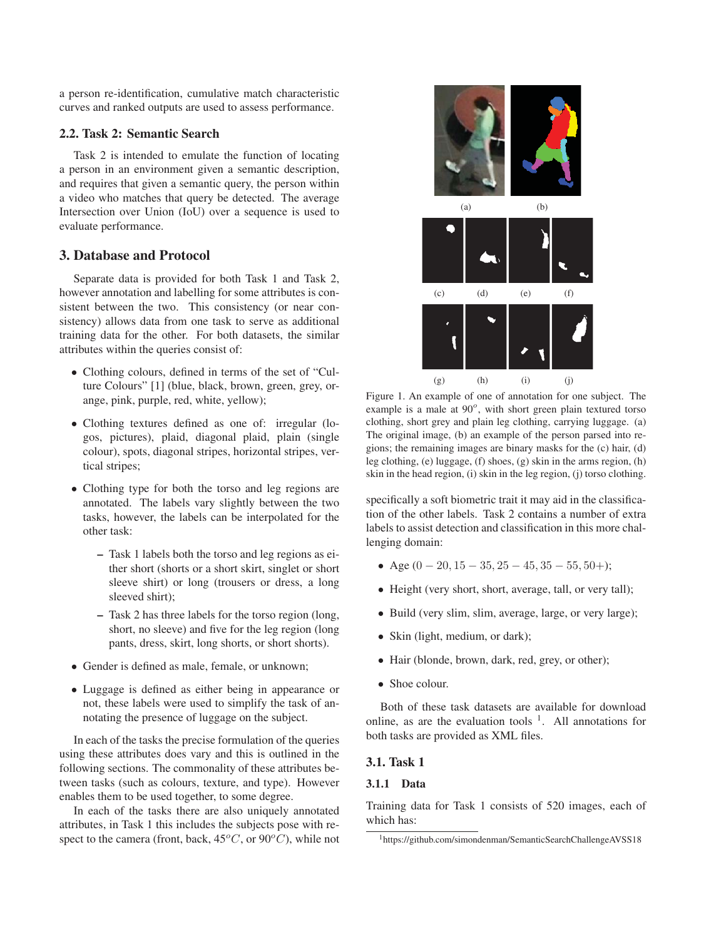a person re-identification, cumulative match characteristic curves and ranked outputs are used to assess performance.

## 2.2. Task 2: Semantic Search

Task 2 is intended to emulate the function of locating a person in an environment given a semantic description, and requires that given a semantic query, the person within a video who matches that query be detected. The average Intersection over Union (IoU) over a sequence is used to evaluate performance.

# 3. Database and Protocol

Separate data is provided for both Task 1 and Task 2, however annotation and labelling for some attributes is consistent between the two. This consistency (or near consistency) allows data from one task to serve as additional training data for the other. For both datasets, the similar attributes within the queries consist of:

- Clothing colours, defined in terms of the set of "Culture Colours" [1] (blue, black, brown, green, grey, orange, pink, purple, red, white, yellow);
- Clothing textures defined as one of: irregular (logos, pictures), plaid, diagonal plaid, plain (single colour), spots, diagonal stripes, horizontal stripes, vertical stripes;
- Clothing type for both the torso and leg regions are annotated. The labels vary slightly between the two tasks, however, the labels can be interpolated for the other task:
	- Task 1 labels both the torso and leg regions as either short (shorts or a short skirt, singlet or short sleeve shirt) or long (trousers or dress, a long sleeved shirt);
	- Task 2 has three labels for the torso region (long, short, no sleeve) and five for the leg region (long pants, dress, skirt, long shorts, or short shorts).
- Gender is defined as male, female, or unknown;
- Luggage is defined as either being in appearance or not, these labels were used to simplify the task of annotating the presence of luggage on the subject.

In each of the tasks the precise formulation of the queries using these attributes does vary and this is outlined in the following sections. The commonality of these attributes between tasks (such as colours, texture, and type). However enables them to be used together, to some degree.

In each of the tasks there are also uniquely annotated attributes, in Task 1 this includes the subjects pose with respect to the camera (front, back,  $45^{\circ}C$ , or  $90^{\circ}C$ ), while not



Figure 1. An example of one of annotation for one subject. The example is a male at  $90^\circ$ , with short green plain textured torso clothing, short grey and plain leg clothing, carrying luggage. (a) The original image, (b) an example of the person parsed into regions; the remaining images are binary masks for the (c) hair, (d) leg clothing, (e) luggage, (f) shoes, (g) skin in the arms region, (h) skin in the head region, (i) skin in the leg region, (j) torso clothing.

specifically a soft biometric trait it may aid in the classification of the other labels. Task 2 contains a number of extra labels to assist detection and classification in this more challenging domain:

- Age  $(0 20, 15 35, 25 45, 35 55, 50+)$ ;
- Height (very short, short, average, tall, or very tall);
- Build (very slim, slim, average, large, or very large);
- Skin (light, medium, or dark);
- Hair (blonde, brown, dark, red, grey, or other);
- Shoe colour.

Both of these task datasets are available for download online, as are the evaluation tools  $\frac{1}{1}$ . All annotations for both tasks are provided as XML files.

# 3.1. Task 1

#### 3.1.1 Data

Training data for Task 1 consists of 520 images, each of which has:

<sup>1</sup>https://github.com/simondenman/SemanticSearchChallengeAVSS18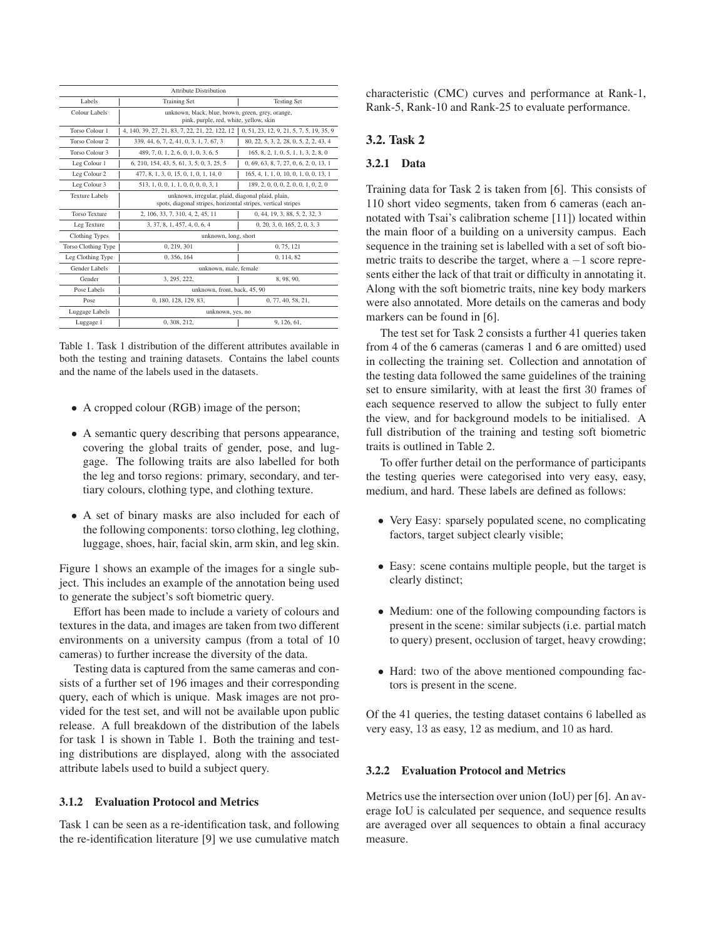| <b>Attribute Distribution</b> |                                                                                                                    |                                        |  |  |
|-------------------------------|--------------------------------------------------------------------------------------------------------------------|----------------------------------------|--|--|
| Labels                        | <b>Training Set</b><br><b>Testing Set</b>                                                                          |                                        |  |  |
| Colour Labels                 | unknown, black, blue, brown, green, grey, orange,<br>pink, purple, red, white, yellow, skin                        |                                        |  |  |
| Torso Colour 1                | 4, 140, 39, 27, 21, 83, 7, 22, 21, 22, 122, 12   0, 51, 23, 12, 9, 21, 5, 7, 5, 19, 35, 9                          |                                        |  |  |
| Torso Colour 2                | 339, 44, 6, 7, 2, 41, 0, 3, 1, 7, 67, 3<br>80, 22, 5, 3, 2, 28, 0, 5, 2, 2, 43, 4                                  |                                        |  |  |
| Torso Colour 3                | 489, 7, 0, 1, 2, 6, 0, 1, 0, 3, 6, 5                                                                               | 165, 8, 2, 1, 0, 5, 1, 1, 3, 2, 8, 0   |  |  |
| Leg Colour 1                  | 6, 210, 154, 43, 5, 61, 3, 5, 0, 3, 25, 5                                                                          | 0, 69, 63, 8, 7, 27, 0, 6, 2, 0, 13, 1 |  |  |
| Leg Colour 2                  | 477, 8, 1, 3, 0, 15, 0, 1, 0, 1, 14, 0                                                                             | 165, 4, 1, 1, 0, 10, 0, 1, 0, 0, 13, 1 |  |  |
| Leg Colour 3                  | 513, 1, 0, 0, 1, 1, 0, 0, 0, 0, 3, 1                                                                               | 189, 2, 0, 0, 0, 2, 0, 0, 1, 0, 2, 0   |  |  |
| Texture Labels                | unknown, irregular, plaid, diagonal plaid, plain,<br>spots, diagonal stripes, horizontal stripes, vertical stripes |                                        |  |  |
| <b>Torso Texture</b>          | 2, 106, 33, 7, 310, 4, 2, 45, 11                                                                                   | 0, 44, 19, 3, 88, 5, 2, 32, 3          |  |  |
| Leg Texture                   | 3, 37, 8, 1, 457, 4, 0, 6, 4                                                                                       | 0, 20, 3, 0, 165, 2, 0, 3, 3           |  |  |
| Clothing Types                | unknown, long, short                                                                                               |                                        |  |  |
| Torso Clothing Type           | 0.219.301                                                                                                          | 0.75.121                               |  |  |
| Leg Clothing Type             | 0.356, 164                                                                                                         | 0, 114, 82                             |  |  |
| Gender Labels                 | unknown, male, female                                                                                              |                                        |  |  |
| Gender                        | 3, 295, 222,                                                                                                       | 8, 98, 90,                             |  |  |
| Pose Labels                   | unknown, front, back, 45, 90                                                                                       |                                        |  |  |
| Pose                          | 0, 180, 128, 129, 83,<br>0, 77, 40, 58, 21,                                                                        |                                        |  |  |
| Luggage Labels                | unknown, yes, no                                                                                                   |                                        |  |  |
| Luggage 1                     | 0, 308, 212,                                                                                                       | 9, 126, 61,                            |  |  |

Table 1. Task 1 distribution of the different attributes available in both the testing and training datasets. Contains the label counts and the name of the labels used in the datasets.

- A cropped colour (RGB) image of the person;
- A semantic query describing that persons appearance, covering the global traits of gender, pose, and luggage. The following traits are also labelled for both the leg and torso regions: primary, secondary, and tertiary colours, clothing type, and clothing texture.
- A set of binary masks are also included for each of the following components: torso clothing, leg clothing, luggage, shoes, hair, facial skin, arm skin, and leg skin.

Figure 1 shows an example of the images for a single subject. This includes an example of the annotation being used to generate the subject's soft biometric query.

Effort has been made to include a variety of colours and textures in the data, and images are taken from two different environments on a university campus (from a total of 10 cameras) to further increase the diversity of the data.

Testing data is captured from the same cameras and consists of a further set of 196 images and their corresponding query, each of which is unique. Mask images are not provided for the test set, and will not be available upon public release. A full breakdown of the distribution of the labels for task 1 is shown in Table 1. Both the training and testing distributions are displayed, along with the associated attribute labels used to build a subject query.

## 3.1.2 Evaluation Protocol and Metrics

Task 1 can be seen as a re-identification task, and following the re-identification literature [9] we use cumulative match characteristic (CMC) curves and performance at Rank-1, Rank-5, Rank-10 and Rank-25 to evaluate performance.

### 3.2. Task 2

## 3.2.1 Data

Training data for Task 2 is taken from [6]. This consists of 110 short video segments, taken from 6 cameras (each annotated with Tsai's calibration scheme [11]) located within the main floor of a building on a university campus. Each sequence in the training set is labelled with a set of soft biometric traits to describe the target, where  $a - 1$  score represents either the lack of that trait or difficulty in annotating it. Along with the soft biometric traits, nine key body markers were also annotated. More details on the cameras and body markers can be found in [6].

The test set for Task 2 consists a further 41 queries taken from 4 of the 6 cameras (cameras 1 and 6 are omitted) used in collecting the training set. Collection and annotation of the testing data followed the same guidelines of the training set to ensure similarity, with at least the first 30 frames of each sequence reserved to allow the subject to fully enter the view, and for background models to be initialised. A full distribution of the training and testing soft biometric traits is outlined in Table 2.

To offer further detail on the performance of participants the testing queries were categorised into very easy, easy, medium, and hard. These labels are defined as follows:

- Very Easy: sparsely populated scene, no complicating factors, target subject clearly visible;
- Easy: scene contains multiple people, but the target is clearly distinct;
- Medium: one of the following compounding factors is present in the scene: similar subjects (i.e. partial match to query) present, occlusion of target, heavy crowding;
- Hard: two of the above mentioned compounding factors is present in the scene.

Of the 41 queries, the testing dataset contains 6 labelled as very easy, 13 as easy, 12 as medium, and 10 as hard.

#### 3.2.2 Evaluation Protocol and Metrics

Metrics use the intersection over union (IoU) per [6]. An average IoU is calculated per sequence, and sequence results are averaged over all sequences to obtain a final accuracy measure.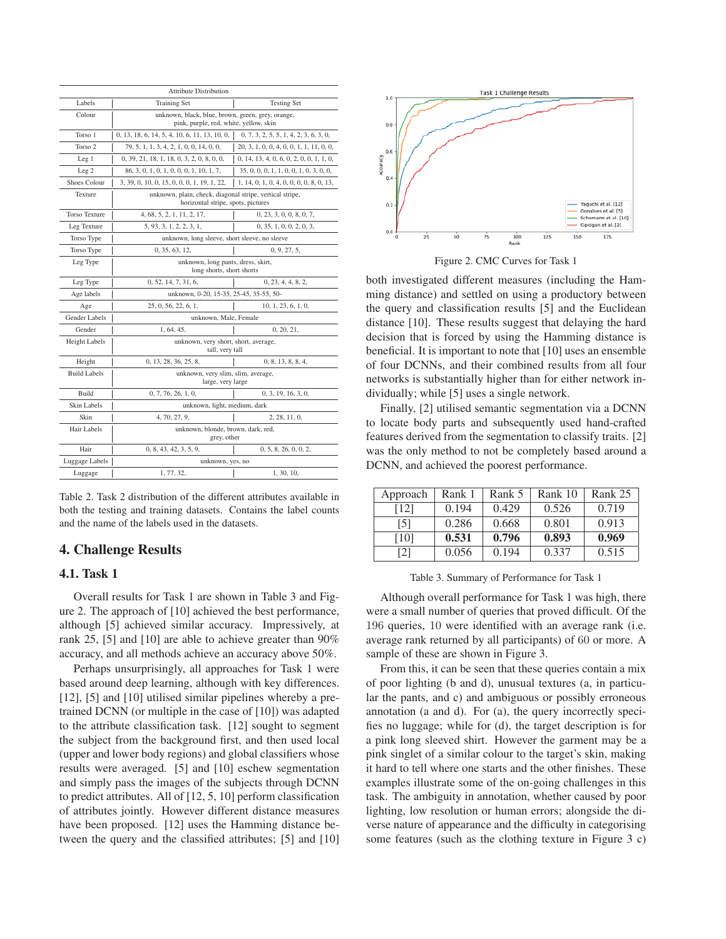| <b>Attribute Distribution</b> |                                                                                                |                                          |  |  |  |
|-------------------------------|------------------------------------------------------------------------------------------------|------------------------------------------|--|--|--|
| Labels                        | <b>Training Set</b>                                                                            | <b>Testing Set</b>                       |  |  |  |
| Colour                        | unknown, black, blue, brown, green, grey, orange,<br>pink, purple, red, white, yellow, skin    |                                          |  |  |  |
| Torso 1                       | $0, 13, 18, 6, 14, 5, 4, 10, 6, 11, 13, 10, 0,$<br>$0, 7, 3, 2, 5, 5, 1, 4, 2, 3, 6, 3, 0,$    |                                          |  |  |  |
| Torso 2                       | 79, 5, 1, 1, 3, 4, 2, 1, 0, 0, 14, 0, 0,<br>$20, 3, 1, 0, 0, 4, 0, 0, 1, 1, 11, 0, 0,$         |                                          |  |  |  |
| Leg <sub>1</sub>              | $0, 39, 21, 18, 1, 18, 0, 3, 2, 0, 8, 0, 0,$<br>$0, 14, 13, 4, 0, 6, 0, 2, 0, 0, 1, 1, 0,$     |                                          |  |  |  |
| Leg <sub>2</sub>              | 86, 3, 0, 1, 0, 1, 0, 0, 0, 1, 10, 1, 7,                                                       | 35, 0, 0, 0, 1, 1, 0, 0, 1, 0, 3, 0, 0,  |  |  |  |
| <b>Shoes Colour</b>           | 3, 39, 0, 10, 0, 15, 0, 0, 0, 1, 19, 1, 22,                                                    | 1, 14, 0, 1, 0, 4, 0, 0, 0, 0, 8, 0, 13, |  |  |  |
| Texture                       | unknown, plain, check, diagonal stripe, vertical stripe,<br>horizontal stripe, spots, pictures |                                          |  |  |  |
| <b>Torso Texture</b>          | 4, 68, 5, 2, 1, 11, 2, 17,                                                                     | 0, 23, 3, 0, 0, 8, 0, 7,                 |  |  |  |
| Leg Texture                   | 5, 93, 3, 1, 2, 2, 3, 1,                                                                       | 0, 35, 1, 0, 0, 2, 0, 3,                 |  |  |  |
| Torso Type                    | unknown, long sleeve, short sleeve, no sleeve                                                  |                                          |  |  |  |
| Torso Type                    | 0, 35, 63, 12,                                                                                 | 0, 9, 27, 5,                             |  |  |  |
| Leg Type                      | unknown, long pants, dress, skirt,<br>long shorts, short shorts                                |                                          |  |  |  |
| Leg Type                      | 0, 52, 14, 7, 31, 6,                                                                           | 0, 23, 4, 4, 8, 2,                       |  |  |  |
| Age labels                    | unknown, 0-20, 15-35, 25-45, 35-55, 50-                                                        |                                          |  |  |  |
| Age                           | 25, 0, 56, 22, 6, 1,                                                                           | 10, 1, 23, 6, 1, 0,                      |  |  |  |
| Gender Labels                 | unknown, Male, Female                                                                          |                                          |  |  |  |
| Gender                        | 0, 20, 21,<br>1, 64, 45,                                                                       |                                          |  |  |  |
| Height Labels                 | unknown, very short, short, average,<br>tall, very tall                                        |                                          |  |  |  |
| Height                        | 0, 13, 28, 36, 25, 8,                                                                          | 0, 8, 13, 8, 8, 4,                       |  |  |  |
| <b>Build Labels</b>           | unknown, very slim, slim, average,<br>large, very large                                        |                                          |  |  |  |
| <b>Build</b>                  | 0, 7, 76, 26, 1, 0,<br>0, 3, 19, 16, 3, 0,                                                     |                                          |  |  |  |
| <b>Skin Labels</b>            | unknown, light, medium, dark                                                                   |                                          |  |  |  |
| Skin                          | 4, 70, 27, 9,                                                                                  | 2, 28, 11, 0,                            |  |  |  |
| Hair Labels                   | unknown, blonde, brown, dark, red,<br>grey, other                                              |                                          |  |  |  |
| Hair                          | 0, 8, 43, 42, 3, 5, 9,                                                                         | 0, 5, 8, 26, 0, 0, 2,                    |  |  |  |
| Luggage Labels                | unknown, yes, no                                                                               |                                          |  |  |  |
| Luggage                       | 1, 77, 32,                                                                                     | 1, 30, 10,                               |  |  |  |

Table 2. Task 2 distribution of the different attributes available in both the testing and training datasets. Contains the label counts and the name of the labels used in the datasets.

# 4. Challenge Results

# 4.1. Task 1

Overall results for Task 1 are shown in Table 3 and Figure 2. The approach of [10] achieved the best performance, although [5] achieved similar accuracy. Impressively, at rank 25, [5] and [10] are able to achieve greater than 90% accuracy, and all methods achieve an accuracy above 50%.

Perhaps unsurprisingly, all approaches for Task 1 were based around deep learning, although with key differences. [12], [5] and [10] utilised similar pipelines whereby a pretrained DCNN (or multiple in the case of [10]) was adapted to the attribute classification task. [12] sought to segment the subject from the background first, and then used local (upper and lower body regions) and global classifiers whose results were averaged. [5] and [10] eschew segmentation and simply pass the images of the subjects through DCNN to predict attributes. All of [12, 5, 10] perform classification of attributes jointly. However different distance measures have been proposed. [12] uses the Hamming distance between the query and the classified attributes; [5] and [10]



Figure 2. CMC Curves for Task 1

both investigated different measures (including the Hamming distance) and settled on using a productory between the query and classification results [5] and the Euclidean distance [10]. These results suggest that delaying the hard decision that is forced by using the Hamming distance is beneficial. It is important to note that [10] uses an ensemble of four DCNNs, and their combined results from all four networks is substantially higher than for either network individually; while [5] uses a single network.

Finally, [2] utilised semantic segmentation via a DCNN to locate body parts and subsequently used hand-crafted features derived from the segmentation to classify traits. [2] was the only method to not be completely based around a DCNN, and achieved the poorest performance.

| Approach | Rank 1 | Rank 5 | Rank 10 | Rank 25 |
|----------|--------|--------|---------|---------|
| [12]     | 0.194  | 0.429  | 0.526   | 0.719   |
| [5]      | 0.286  | 0.668  | 0.801   | 0.913   |
| [10]     | 0.531  | 0.796  | 0.893   | 0.969   |
| [2]      | 0.056  | 0.194  | 0.337   | 0.515   |

Table 3. Summary of Performance for Task 1

Although overall performance for Task 1 was high, there were a small number of queries that proved difficult. Of the 196 queries, 10 were identified with an average rank (i.e. average rank returned by all participants) of 60 or more. A sample of these are shown in Figure 3.

From this, it can be seen that these queries contain a mix of poor lighting (b and d), unusual textures (a, in particular the pants, and c) and ambiguous or possibly erroneous annotation (a and d). For (a), the query incorrectly specifies no luggage; while for (d), the target description is for a pink long sleeved shirt. However the garment may be a pink singlet of a similar colour to the target's skin, making it hard to tell where one starts and the other finishes. These examples illustrate some of the on-going challenges in this task. The ambiguity in annotation, whether caused by poor lighting, low resolution or human errors; alongside the diverse nature of appearance and the difficulty in categorising some features (such as the clothing texture in Figure 3 c)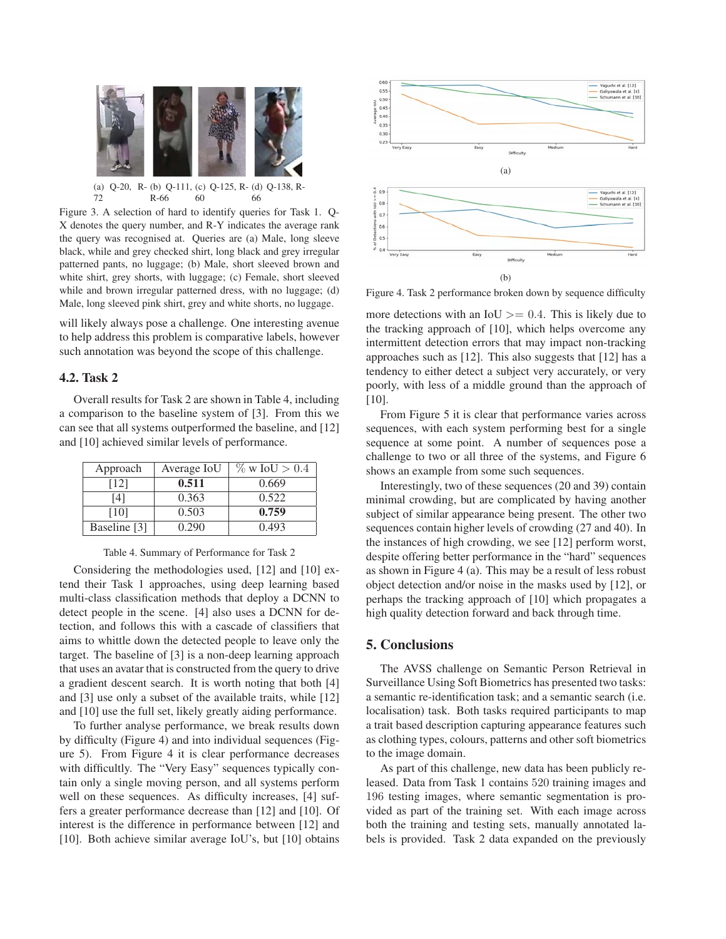

Figure 3. A selection of hard to identify queries for Task 1. Q-X denotes the query number, and R-Y indicates the average rank the query was recognised at. Queries are (a) Male, long sleeve black, while and grey checked shirt, long black and grey irregular patterned pants, no luggage; (b) Male, short sleeved brown and white shirt, grey shorts, with luggage; (c) Female, short sleeved while and brown irregular patterned dress, with no luggage; (d) Male, long sleeved pink shirt, grey and white shorts, no luggage.

will likely always pose a challenge. One interesting avenue to help address this problem is comparative labels, however such annotation was beyond the scope of this challenge.

#### 4.2. Task 2

Overall results for Task 2 are shown in Table 4, including a comparison to the baseline system of [3]. From this we can see that all systems outperformed the baseline, and [12] and [10] achieved similar levels of performance.

| Approach     | Average IoU | $\%$ w IoU > 0.4 |
|--------------|-------------|------------------|
| [12]         | 0.511       | 0.669            |
| [4]          | 0.363       | 0.522            |
| [10]         | 0.503       | 0.759            |
| Baseline [3] | 0.290       | 0.493            |

Table 4. Summary of Performance for Task 2

Considering the methodologies used, [12] and [10] extend their Task 1 approaches, using deep learning based multi-class classification methods that deploy a DCNN to detect people in the scene. [4] also uses a DCNN for detection, and follows this with a cascade of classifiers that aims to whittle down the detected people to leave only the target. The baseline of [3] is a non-deep learning approach that uses an avatar that is constructed from the query to drive a gradient descent search. It is worth noting that both [4] and [3] use only a subset of the available traits, while [12] and [10] use the full set, likely greatly aiding performance.

To further analyse performance, we break results down by difficulty (Figure 4) and into individual sequences (Figure 5). From Figure 4 it is clear performance decreases with difficultly. The "Very Easy" sequences typically contain only a single moving person, and all systems perform well on these sequences. As difficulty increases, [4] suffers a greater performance decrease than [12] and [10]. Of interest is the difference in performance between [12] and [10]. Both achieve similar average IoU's, but [10] obtains



Figure 4. Task 2 performance broken down by sequence difficulty

more detections with an  $IoU \ge 0.4$ . This is likely due to the tracking approach of [10], which helps overcome any intermittent detection errors that may impact non-tracking approaches such as [12]. This also suggests that [12] has a tendency to either detect a subject very accurately, or very poorly, with less of a middle ground than the approach of [10].

From Figure 5 it is clear that performance varies across sequences, with each system performing best for a single sequence at some point. A number of sequences pose a challenge to two or all three of the systems, and Figure 6 shows an example from some such sequences.

Interestingly, two of these sequences (20 and 39) contain minimal crowding, but are complicated by having another subject of similar appearance being present. The other two sequences contain higher levels of crowding (27 and 40). In the instances of high crowding, we see [12] perform worst, despite offering better performance in the "hard" sequences as shown in Figure 4 (a). This may be a result of less robust object detection and/or noise in the masks used by [12], or perhaps the tracking approach of [10] which propagates a high quality detection forward and back through time.

#### 5. Conclusions

The AVSS challenge on Semantic Person Retrieval in Surveillance Using Soft Biometrics has presented two tasks: a semantic re-identification task; and a semantic search (i.e. localisation) task. Both tasks required participants to map a trait based description capturing appearance features such as clothing types, colours, patterns and other soft biometrics to the image domain.

As part of this challenge, new data has been publicly released. Data from Task 1 contains 520 training images and 196 testing images, where semantic segmentation is provided as part of the training set. With each image across both the training and testing sets, manually annotated labels is provided. Task 2 data expanded on the previously